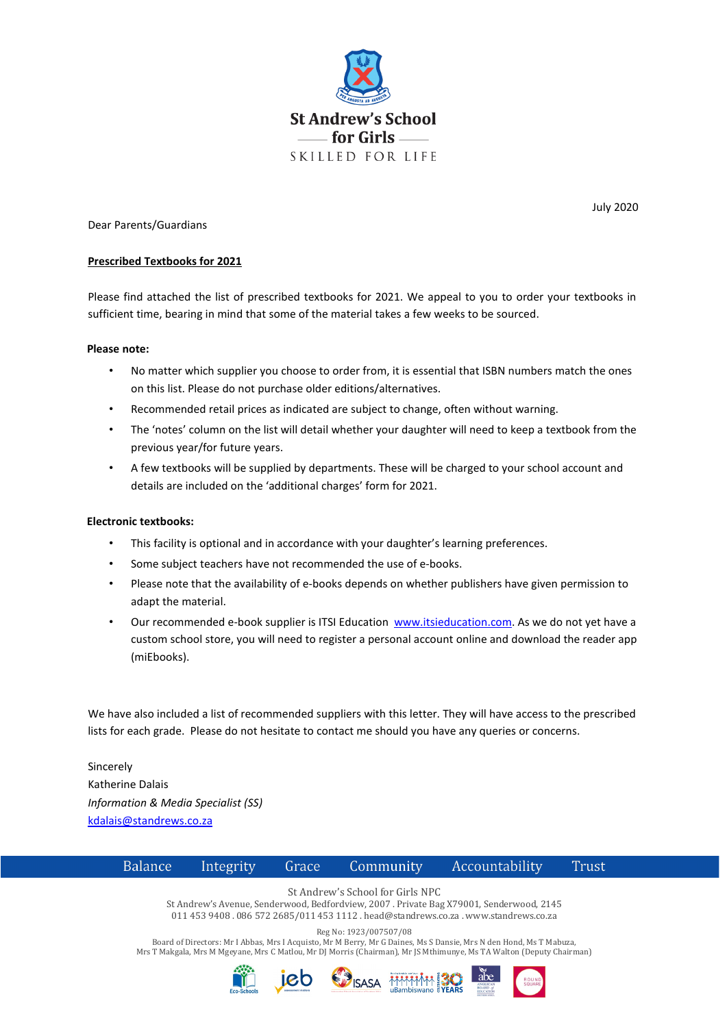

Dear Parents/Guardians

#### **Prescribed Textbooks for 2021**

Please find attached the list of prescribed textbooks for 2021. We appeal to you to order your textbooks in sufficient time, bearing in mind that some of the material takes a few weeks to be sourced.

#### **Please note:**

- No matter which supplier you choose to order from, it is essential that ISBN numbers match the ones on this list. Please do not purchase older editions/alternatives.
- Recommended retail prices as indicated are subject to change, often without warning.
- The 'notes' column on the list will detail whether your daughter will need to keep a textbook from the previous year/for future years.
- A few textbooks will be supplied by departments. These will be charged to your school account and details are included on the 'additional charges' form for 2021.

### **Electronic textbooks:**

- This facility is optional and in accordance with your daughter's learning preferences.
- Some subject teachers have not recommended the use of e-books.
- Please note that the availability of e-books depends on whether publishers have given permission to adapt the material.
- Our recommended e-book supplier is ITSI Education [www.itsieducation.com.](http://www.itsieducation.com/) As we do not yet have a custom school store, you will need to register a personal account online and download the reader app (miEbooks).

We have also included a list of recommended suppliers with this letter. They will have access to the prescribed lists for each grade. Please do not hesitate to contact me should you have any queries or concerns.

Sincerely Katherine Dalais *Information & Media Specialist (SS)* [kdalais@standrews.co.za](mailto:kdalais@standrews.co.za)



St Andrew's Avenue, Senderwood, Bedfordview, 2007 . Private Bag X79001, Senderwood, 2145 011 453 9408 . 086 572 2685/011 453 1112 . head@standrews.co.za . www.standrews.co.za

Reg No: 1923/007507/08

Board of Directors: Mr I Abbas, Mrs I Acquisto, Mr M Berry, Mr G Daines, Ms S Dansie, Mrs N den Hond, Ms T Mabuza, Mrs T Makgala, Mrs M Mgeyane, Mrs C Matlou, Mr DJ Morris (Chairman), Mr JS Mthimunye, Ms TA Walton (Deputy Chairman)









July 2020